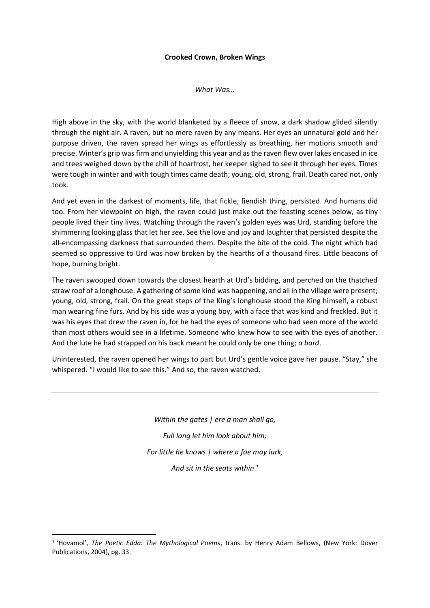## **Crooked Crown, Broken Wings**

*What Was...*

High above in the sky, with the world blanketed by a fleece of snow, a dark shadow glided silently through the night air. A raven, but no mere raven by any means. Her eyes an unnatural gold and her purpose driven, the raven spread her wings as effortlessly as breathing, her motions smooth and precise. Winter's grip was firm and unyielding this year and as the raven flew over lakes encased in ice and trees weighed down by the chill of hoarfrost, her keeper sighed to see it through her eyes. Times were tough in winter and with tough times came death; young, old, strong, frail. Death cared not, only took.

And yet even in the darkest of moments, life, that fickle, fiendish thing, persisted. And humans did too. From her viewpoint on high, the raven could just make out the feasting scenes below, as tiny people lived their tiny lives. Watching through the raven's golden eyes was Urd, standing before the shimmering looking glass that let her *see*. See the love and joy and laughter that persisted despite the all-encompassing darkness that surrounded them. Despite the bite of the cold. The night which had seemed so oppressive to Urd was now broken by the hearths of a thousand fires. Little beacons of hope, burning bright.

The raven swooped down towards the closest hearth at Urd's bidding, and perched on the thatched straw roof of a longhouse. A gathering of some kind was happening, and all in the village were present; young, old, strong, frail. On the great steps of the King's longhouse stood the King himself, a robust man wearing fine furs. And by his side was a young boy, with a face that was kind and freckled. But it was his eyes that drew the raven in, for he had the eyes of someone who had seen more of the world than most others would see in a lifetime. Someone who knew how to see with the eyes of another. And the lute he had strapped on his back meant he could only be one thing; *a bard*.

Uninterested, the raven opened her wings to part but Urd's gentle voice gave her pause. "Stay," she whispered. "I would like to see this." And so, the raven watched.

> *Within the gates | ere a man shall go, Full long let him look about him; For little he knows | where a foe may lurk, And sit in the seats within <sup>1</sup>*

<sup>1</sup> 'Hovamol', *The Poetic Edda: The Mythological Poems*, trans. by Henry Adam Bellows, (New York: Dover Publications, 2004), pg. 33.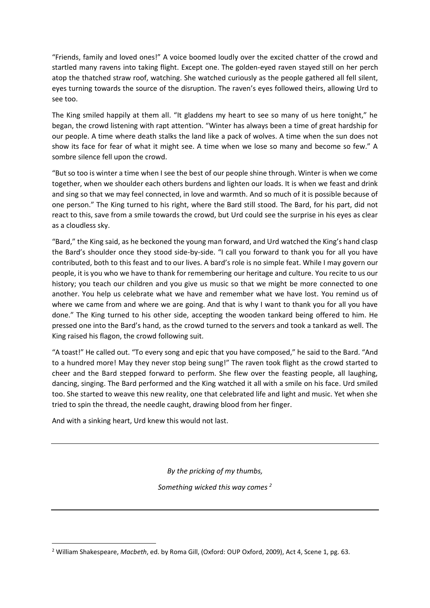"Friends, family and loved ones!" A voice boomed loudly over the excited chatter of the crowd and startled many ravens into taking flight. Except one. The golden-eyed raven stayed still on her perch atop the thatched straw roof, watching. She watched curiously as the people gathered all fell silent, eyes turning towards the source of the disruption. The raven's eyes followed theirs, allowing Urd to see too.

The King smiled happily at them all. "It gladdens my heart to see so many of us here tonight," he began, the crowd listening with rapt attention. "Winter has always been a time of great hardship for our people. A time where death stalks the land like a pack of wolves. A time when the sun does not show its face for fear of what it might see. A time when we lose so many and become so few." A sombre silence fell upon the crowd.

"But so too is winter a time when I see the best of our people shine through. Winter is when we come together, when we shoulder each others burdens and lighten our loads. It is when we feast and drink and sing so that we may feel connected, in love and warmth. And so much of it is possible because of one person." The King turned to his right, where the Bard still stood. The Bard, for his part, did not react to this, save from a smile towards the crowd, but Urd could see the surprise in his eyes as clear as a cloudless sky.

"Bard," the King said, as he beckoned the young man forward, and Urd watched the King's hand clasp the Bard's shoulder once they stood side-by-side. "I call you forward to thank you for all you have contributed, both to this feast and to our lives. A bard's role is no simple feat. While I may govern our people, it is you who we have to thank for remembering our heritage and culture. You recite to us our history; you teach our children and you give us music so that we might be more connected to one another. You help us celebrate what we have and remember what we have lost. You remind us of where we came from and where we are going. And that is why I want to thank you for all you have done." The King turned to his other side, accepting the wooden tankard being offered to him. He pressed one into the Bard's hand, as the crowd turned to the servers and took a tankard as well. The King raised his flagon, the crowd following suit.

"A toast!" He called out. "To every song and epic that you have composed," he said to the Bard. "And to a hundred more! May they never stop being sung!" The raven took flight as the crowd started to cheer and the Bard stepped forward to perform. She flew over the feasting people, all laughing, dancing, singing. The Bard performed and the King watched it all with a smile on his face. Urd smiled too. She started to weave this new reality, one that celebrated life and light and music. Yet when she tried to spin the thread, the needle caught, drawing blood from her finger.

And with a sinking heart, Urd knew this would not last.

*By the pricking of my thumbs,*

*Something wicked this way comes <sup>2</sup>*

<sup>2</sup> William Shakespeare, *Macbeth*, ed. by Roma Gill, (Oxford: OUP Oxford, 2009), Act 4, Scene 1, pg. 63.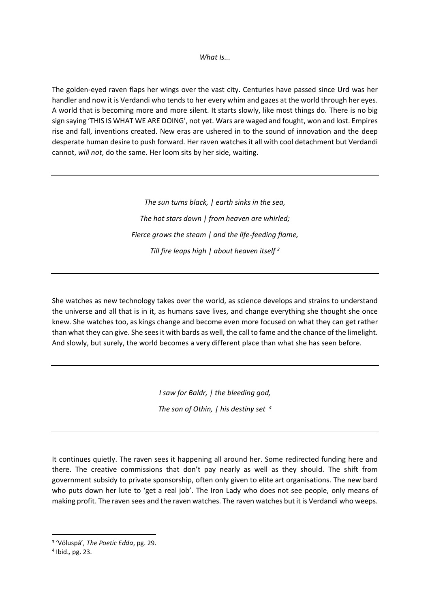## *What Is...*

The golden-eyed raven flaps her wings over the vast city. Centuries have passed since Urd was her handler and now it is Verdandi who tends to her every whim and gazes at the world through her eyes. A world that is becoming more and more silent. It starts slowly, like most things do. There is no big sign saying 'THIS IS WHAT WE ARE DOING', not yet. Wars are waged and fought, won and lost. Empires rise and fall, inventions created. New eras are ushered in to the sound of innovation and the deep desperate human desire to push forward. Her raven watches it all with cool detachment but Verdandi cannot, *will not*, do the same. Her loom sits by her side, waiting.

> *The sun turns black, | earth sinks in the sea, The hot stars down | from heaven are whirled; Fierce grows the steam | and the life-feeding flame, Till fire leaps high | about heaven itself <sup>3</sup>*

She watches as new technology takes over the world, as science develops and strains to understand the universe and all that is in it, as humans save lives, and change everything she thought she once knew. She watches too, as kings change and become even more focused on what they can get rather than what they can give. She seesit with bards as well, the call to fame and the chance of the limelight. And slowly, but surely, the world becomes a very different place than what she has seen before.

*I saw for Baldr, | the bleeding god,*

*The son of Othin, | his destiny set <sup>4</sup>*

It continues quietly. The raven sees it happening all around her. Some redirected funding here and there. The creative commissions that don't pay nearly as well as they should. The shift from government subsidy to private sponsorship, often only given to elite art organisations. The new bard who puts down her lute to 'get a real job'. The Iron Lady who does not see people, only means of making profit. The raven sees and the raven watches. The raven watches but it is Verdandi who weeps.

<sup>3</sup> 'Völuspá', *The Poetic Edda*, pg. 29.

<sup>4</sup> Ibid.*,* pg. 23.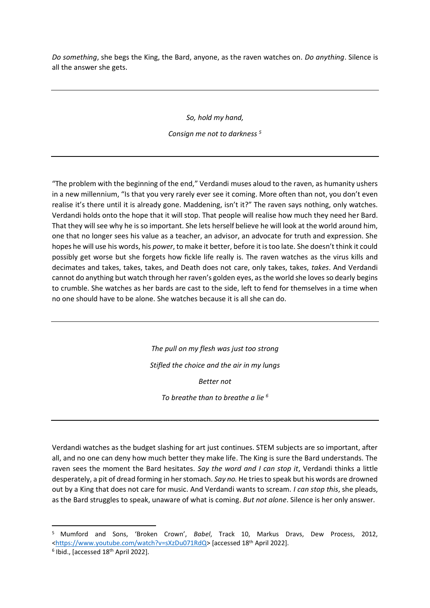*Do something*, she begs the King, the Bard, anyone, as the raven watches on. *Do anything*. Silence is all the answer she gets.

## *So, hold my hand,*

*Consign me not to darkness <sup>5</sup>*

"The problem with the beginning of the end," Verdandi muses aloud to the raven, as humanity ushers in a new millennium, "Is that you very rarely ever see it coming. More often than not, you don't even realise it's there until it is already gone. Maddening, isn't it?" The raven says nothing, only watches. Verdandi holds onto the hope that it will stop. That people will realise how much they need her Bard. That they will see why he is so important. She lets herself believe he will look at the world around him, one that no longer sees his value as a teacher, an advisor, an advocate for truth and expression. She hopes he will use his words, his *power*, to make it better, before it is too late. She doesn't think it could possibly get worse but she forgets how fickle life really is. The raven watches as the virus kills and decimates and takes, takes, takes, and Death does not care, only takes, takes, *takes*. And Verdandi cannot do anything but watch through her raven's golden eyes, as the world she loves so dearly begins to crumble. She watches as her bards are cast to the side, left to fend for themselves in a time when no one should have to be alone. She watches because it is all she can do.

> *The pull on my flesh was just too strong Stifled the choice and the air in my lungs Better not*

*To breathe than to breathe a lie <sup>6</sup>*

Verdandi watches as the budget slashing for art just continues. STEM subjects are so important, after all, and no one can deny how much better they make life. The King is sure the Bard understands. The raven sees the moment the Bard hesitates. *Say the word and I can stop it*, Verdandi thinks a little desperately, a pit of dread forming in her stomach. *Say no.* He tries to speak but his words are drowned out by a King that does not care for music. And Verdandi wants to scream. *I can stop this*, she pleads, as the Bard struggles to speak, unaware of what is coming. *But not alone*. Silence is her only answer.

<sup>5</sup> Mumford and Sons, 'Broken Crown', *Babel*, Track 10, Markus Dravs, Dew Process, 2012, [<https://www.youtube.com/watch?v=sXzDu071RdQ>](https://www.youtube.com/watch?v=sXzDu071RdQ) [accessed 18th April 2022].

<sup>&</sup>lt;sup>6</sup> Ibid., [accessed 18<sup>th</sup> April 2022].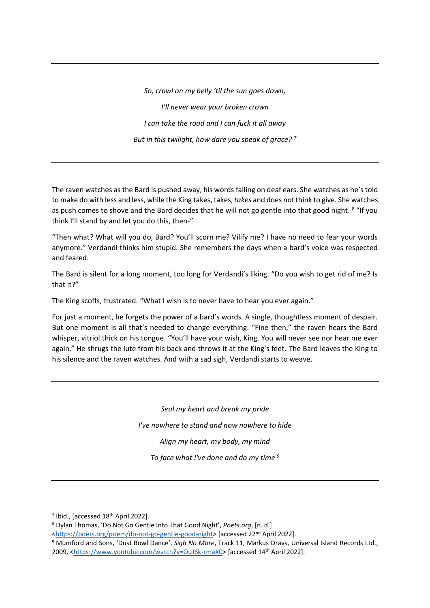*So, crawl on my belly 'til the sun goes down, I'll never wear your broken crown I can take the road and I can fuck it all away But in this twilight, how dare you speak of grace? <sup>7</sup>*

The raven watches as the Bard is pushed away, his words falling on deaf ears. She watches as he's told to make do with less and less, while the King takes, takes, *takes* and does not think to give. She watches as push comes to shove and the Bard decides that he will not go gentle into that good night. <sup>8</sup> "If you think I'll stand by and let you do this, then-"

"Then what? What will you do, Bard? You'll scorn me? Vilify me? I have no need to fear your words anymore." Verdandi thinks him stupid. She remembers the days when a bard's voice was respected and feared.

The Bard is silent for a long moment, too long for Verdandi's liking. "Do you wish to get rid of me? Is that it?"

The King scoffs, frustrated. "What I wish is to never have to hear you ever again."

For just a moment, he forgets the power of a bard's words. A single, thoughtless moment of despair. But one moment is all that's needed to change everything. "Fine then," the raven hears the Bard whisper, vitriol thick on his tongue. "You'll have your wish, King. You will never see nor hear me ever again." He shrugs the lute from his back and throws it at the King's feet. The Bard leaves the King to his silence and the raven watches. And with a sad sigh, Verdandi starts to weave.

> *Seal my heart and break my pride I've nowhere to stand and now nowhere to hide Align my heart, my body, my mind To face what I've done and do my time <sup>9</sup>*

<sup>&</sup>lt;sup>7</sup> Ibid., [accessed 18<sup>th</sup> April 2022].

<sup>8</sup> Dylan Thomas, 'Do Not Go Gentle Into That Good Night', *Poets.org*, [n. d.]

[<sup>&</sup>lt;https://poets.org/poem/do-not-go-gentle-good-night>](https://poets.org/poem/do-not-go-gentle-good-night) [accessed 22nd April 2022].

<sup>9</sup> Mumford and Sons, 'Dust Bowl Dance', *Sigh No More*, Track 11, Markus Dravs, Universal Island Records Ltd., 2009, [<https://www.youtube.com/watch?v=OuJ6k-rmaX0>](https://www.youtube.com/watch?v=OuJ6k-rmaX0%20) [accessed 14th April 2022].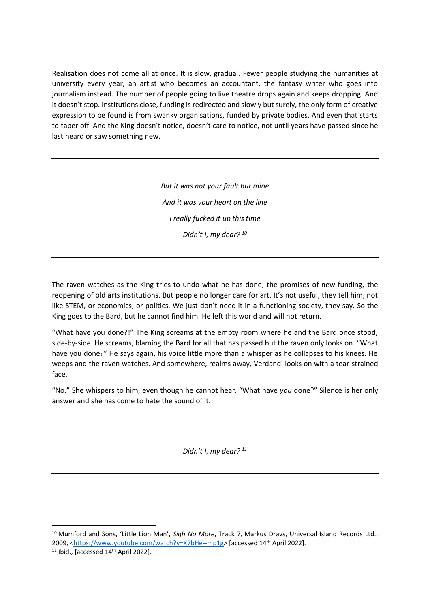Realisation does not come all at once. It is slow, gradual. Fewer people studying the humanities at university every year, an artist who becomes an accountant, the fantasy writer who goes into journalism instead. The number of people going to live theatre drops again and keeps dropping. And it doesn't stop. Institutions close, funding is redirected and slowly but surely, the only form of creative expression to be found is from swanky organisations, funded by private bodies. And even that starts to taper off. And the King doesn't notice, doesn't care to notice, not until years have passed since he last heard or saw something new.

> *But it was not your fault but mine And it was your heart on the line I really fucked it up this time Didn't I, my dear? <sup>10</sup>*

The raven watches as the King tries to undo what he has done; the promises of new funding, the reopening of old arts institutions. But people no longer care for art. It's not useful, they tell him, not like STEM, or economics, or politics. We just don't need it in a functioning society, they say. So the King goes to the Bard, but he cannot find him. He left this world and will not return.

"What have you done?!" The King screams at the empty room where he and the Bard once stood, side-by-side. He screams, blaming the Bard for all that has passed but the raven only looks on. "What have you done?" He says again, his voice little more than a whisper as he collapses to his knees. He weeps and the raven watches. And somewhere, realms away, Verdandi looks on with a tear-strained face.

"No." She whispers to him, even though he cannot hear. "What have *you* done?" Silence is her only answer and she has come to hate the sound of it.

*Didn't I, my dear? <sup>11</sup>*

<sup>10</sup> Mumford and Sons, 'Little Lion Man', *Sigh No More*, Track 7, Markus Dravs, Universal Island Records Ltd., 2009, [<https://www.youtube.com/watch?v=X7bHe--mp1g>](https://www.youtube.com/watch?v=X7bHe--mp1g%20%20) [accessed 14th April 2022].

<sup>&</sup>lt;sup>11</sup> Ibid., [accessed 14<sup>th</sup> April 2022].